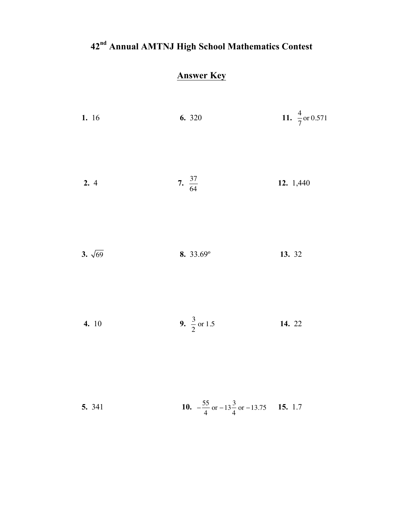## **42nd Annual AMTNJ High School Mathematics Contest**

## **Answer Key**

| 1. 16          | 6. 320                                                      | 11. $\frac{4}{7}$ or 0.571 |
|----------------|-------------------------------------------------------------|----------------------------|
| 2.4            | 7. $\frac{37}{64}$                                          | 12. 1,440                  |
| 3. $\sqrt{69}$ | 8. 33.69°                                                   | 13. 32                     |
| 4. 10          | 9. $\frac{3}{2}$ or 1.5                                     | 14. 22                     |
| 5. 341         | 10. $-\frac{55}{4}$ or $-13\frac{3}{4}$ or $-13.75$ 15. 1.7 |                            |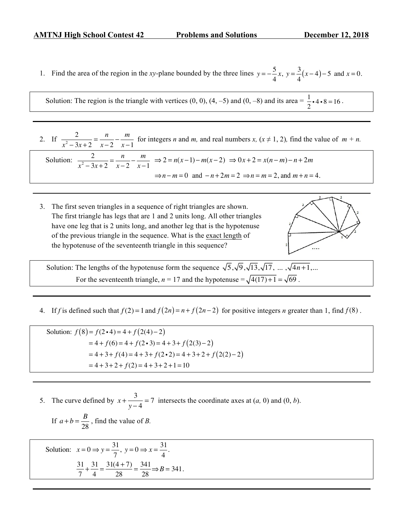1. Find the area of the region in the *xy*-plane bounded by the three lines  $y = -\frac{5}{4}$ 4 *x*,  $y = \frac{3}{4}$  $\frac{5}{4}(x-4)-5$  and  $x=0$ .

Solution: The region is the triangle with vertices (0, 0), (4, -5) and (0, -8) and its area =  $\frac{1}{2}$  $\frac{1}{2}$  • 4 • 8 = 16.

2. If  $\frac{2}{x^2 - 3x + 2} = \frac{n}{x - 2}$  $-\frac{m}{x-1}$  for integers *n* and *m*, and real numbers *x*, ( $x \ne 1, 2$ ), find the value of  $m + n$ .

Solution:  $\frac{2}{x^2 - 3x + 2} = \frac{n}{x - 2}$ <sup>−</sup> *<sup>m</sup> x* −1  $\Rightarrow$  2 = *n*(*x* − 1) – *m*(*x* − 2)  $\Rightarrow$  0*x* + 2 = *x*(*n* − *m*) – *n* + 2*m*  $\Rightarrow$  *n* − *m* = 0 and − *n* + 2*m* = 2  $\Rightarrow$  *n* = *m* = 2, and *m* + *n* = 4.

3. The first seven triangles in a sequence of right triangles are shown. The first triangle has legs that are 1 and 2 units long. All other triangles have one leg that is 2 units long, and another leg that is the hypotenuse of the previous triangle in the sequence. What is the exact length of the hypotenuse of the seventeenth triangle in this sequence?



Solution: The lengths of the hypotenuse form the sequence  $\sqrt{5}$ ,  $\sqrt{9}$ ,  $\sqrt{13}$ ,  $\sqrt{17}$ , ... ,  $\sqrt{4n+1}$ ,... For the seventeenth triangle,  $n = 17$  and the hypotenuse  $= \sqrt{4(17) + 1} = \sqrt{69}$ .

4. If *f* is defined such that  $f(2) = 1$  and  $f(2n) = n + f(2n - 2)$  for positive integers *n* greater than 1, find  $f(8)$ .

Solution:  $f(8) = f(2 \cdot 4) = 4 + f(2(4) - 2)$  $= 4 + f(6) = 4 + f(2 \cdot 3) = 4 + 3 + f(2(3) - 2)$  $= 4 + 3 + f(4) = 4 + 3 + f(2 \cdot 2) = 4 + 3 + 2 + f(2(2)-2)$  $= 4 + 3 + 2 + f(2) = 4 + 3 + 2 + 1 = 10$ 

5. The curve defined by  $x + \frac{3}{y-4} = 7$  intersects the coordinate axes at  $(a, 0)$  and  $(0, b)$ .

If 
$$
a + b = \frac{B}{28}
$$
, find the value of B.

Solution: 
$$
x = 0 \Rightarrow y = \frac{31}{7}, y = 0 \Rightarrow x = \frac{31}{4}.
$$
  

$$
\frac{31}{7} + \frac{31}{4} = \frac{31(4+7)}{28} = \frac{341}{28} \Rightarrow B = 341.
$$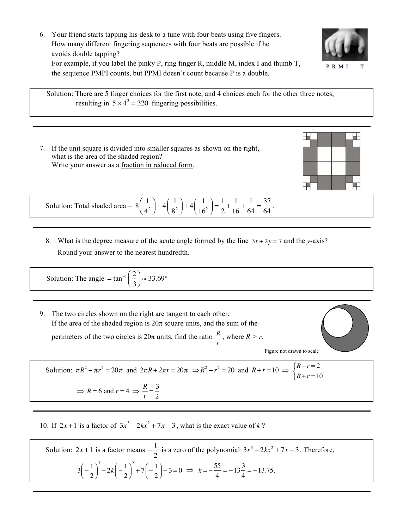6. Your friend starts tapping his desk to a tune with four beats using five fingers. How many different fingering sequences with four beats are possible if he avoids double tapping? For example, if you label the pinky P, ring finger R, middle M, index I and thumb T, the sequence PMPI counts, but PPMI doesn't count because P is a double.



 Solution: There are 5 finger choices for the first note, and 4 choices each for the other three notes, resulting in  $5 \times 4^3 = 320$  fingering possibilities.

7. If the unit square is divided into smaller squares as shown on the right, what is the area of the shaded region? Write your answer as a fraction in reduced form.



Solution: Total shaded area = 
$$
8\left(\frac{1}{4^2}\right) + 4\left(\frac{1}{8^2}\right) + 4\left(\frac{1}{16^2}\right) = \frac{1}{2} + \frac{1}{16} + \frac{1}{64} = \frac{37}{64}
$$
.

8. What is the degree measure of the acute angle formed by the line  $3x + 2y = 7$  and the *y*-axis? Round your answer to the nearest hundredth.

Solution: The angle = tan<sup>-1</sup> $\left(\frac{2}{3}\right)$ 3  $\sqrt{2}$  $\left(\frac{2}{3}\right) \approx 33.69^\circ$ 

9. The two circles shown on the right are tangent to each other. If the area of the shaded region is  $20\pi$  square units, and the sum of the perimeters of the two circles is  $20\pi$  units, find the ratio  $\frac{R}{r}$ , where  $R > r$ .



Solution:  $\pi R^2 - \pi r^2 = 20\pi$  and  $2\pi R + 2\pi r = 20\pi \implies R^2 - r^2 = 20$  and  $R + r = 10 \implies \begin{cases} R - r = 2 \end{cases}$  $R + r = 10$  $\int$ ⎨  $\overline{a}$  $\Rightarrow$  *R* = 6 and *r* = 4  $\Rightarrow$   $\frac{R}{r} = \frac{3}{2}$ 

*r*

10. If  $2x+1$  is a factor of  $3x^3 - 2kx^2 + 7x - 3$ , what is the exact value of *k*?

Solution:  $2x + 1$  is a factor means  $-\frac{1}{2}$  is a zero of the polynomial  $3x^3 - 2kx^2 + 7x - 3$ . Therefore,  $3\left(-\frac{1}{2}\right)$  $\sqrt{}$  $\left(-\frac{1}{2}\right)$  $-2k\left(-\frac{1}{2}\right)$  $\sqrt{2}$  $\left(-\frac{1}{2}\right)$  $^{2}$  + 7  $\left(-\frac{1}{2}\right)$  $\sqrt{}$  $\left(-\frac{1}{2}\right) - 3 = 0 \implies k = -\frac{55}{4} = -13\frac{3}{4} = -13.75.$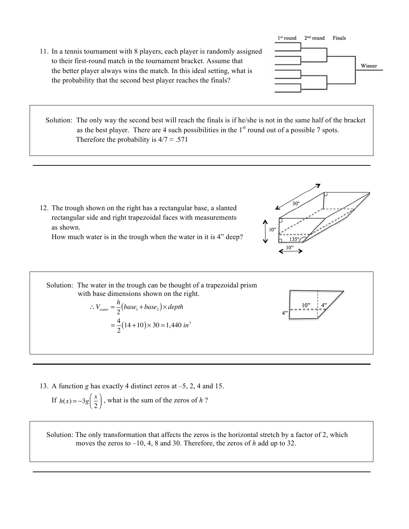11. In a tennis tournament with 8 players, each player is randomly assigned to their first-round match in the tournament bracket. Assume that the better player always wins the match. In this ideal setting, what is the probability that the second best player reaches the finals?



Solution: The only way the second best will reach the finals is if he/she is not in the same half of the bracket as the best player. There are 4 such possibilities in the  $1<sup>st</sup>$  round out of a possible 7 spots. Therefore the probability is  $4/7 \approx .571$ 

12. The trough shown on the right has a rectangular base, a slanted rectangular side and right trapezoidal faces with measurements as shown.

How much water is in the trough when the water in it is 4" deep?



 Solution: The water in the trough can be thought of a trapezoidal prism with base dimensions shown on the right.  $\therefore$   $V_{\text{water}} = \frac{h}{2} (base_1 + base_2) \times depth$  $10"$  $=\frac{4}{3}$  $\frac{1}{2}(14+10) \times 30 = 1,440 \text{ in}^3$ 

13. A function *g* has exactly 4 distinct zeros at –5, 2, 4 and 15.

If 
$$
h(x) = -3g\left(\frac{x}{2}\right)
$$
, what is the sum of the zeros of *h*?

 Solution: The only transformation that affects the zeros is the horizontal stretch by a factor of 2, which moves the zeros to –10, 4, 8 and 30. Therefore, the zeros of *h* add up to 32.